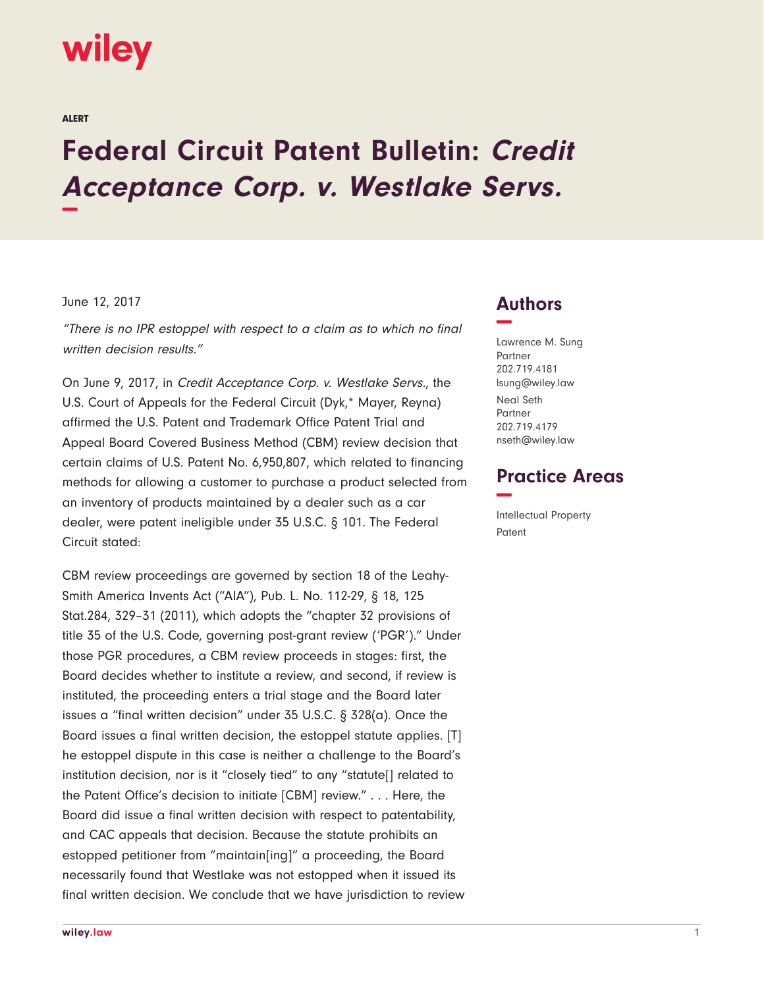# **wiley**

ALERT

# **Federal Circuit Patent Bulletin: Credit Acceptance Corp. v. Westlake Servs. −**

#### June 12, 2017

"There is no IPR estoppel with respect to a claim as to which no final written decision results."

On June 9, 2017, in Credit Acceptance Corp. v. Westlake Servs., the U.S. Court of Appeals for the Federal Circuit (Dyk,\* Mayer, Reyna) affirmed the U.S. Patent and Trademark Office Patent Trial and Appeal Board Covered Business Method (CBM) review decision that certain claims of U.S. Patent No. 6,950,807, which related to financing methods for allowing a customer to purchase a product selected from an inventory of products maintained by a dealer such as a car dealer, were patent ineligible under 35 U.S.C. § 101. The Federal Circuit stated:

CBM review proceedings are governed by section 18 of the Leahy-Smith America Invents Act ("AIA"), Pub. L. No. 112-29, § 18, 125 Stat.284, 329–31 (2011), which adopts the "chapter 32 provisions of title 35 of the U.S. Code, governing post-grant review ('PGR')." Under those PGR procedures, a CBM review proceeds in stages: first, the Board decides whether to institute a review, and second, if review is instituted, the proceeding enters a trial stage and the Board later issues a "final written decision" under 35 U.S.C. § 328(a). Once the Board issues a final written decision, the estoppel statute applies. [T] he estoppel dispute in this case is neither a challenge to the Board's institution decision, nor is it "closely tied" to any "statute[] related to the Patent Office's decision to initiate [CBM] review." . . . Here, the Board did issue a final written decision with respect to patentability, and CAC appeals that decision. Because the statute prohibits an estopped petitioner from "maintain[ing]" a proceeding, the Board necessarily found that Westlake was not estopped when it issued its final written decision. We conclude that we have jurisdiction to review

### **Authors −**

Lawrence M. Sung Partner 202.719.4181 lsung@wiley.law Neal Seth Partner 202.719.4179 nseth@wiley.law

## **Practice Areas −**

Intellectual Property Patent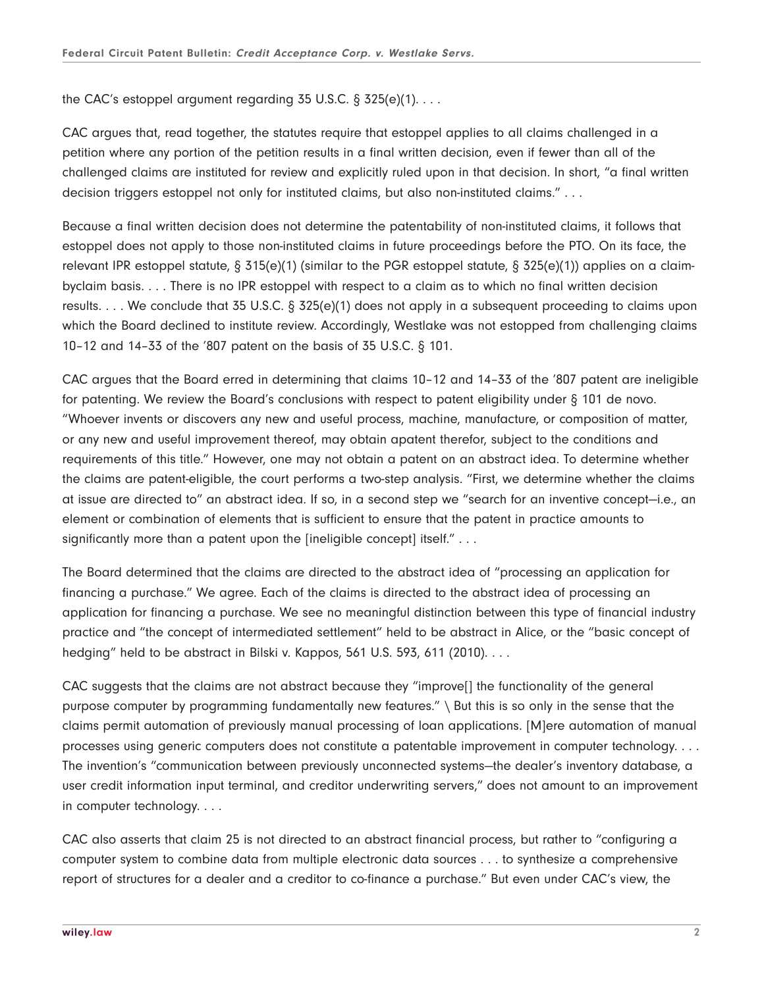the CAC's estoppel argument regarding 35 U.S.C. § 325(e)(1). . . .

CAC argues that, read together, the statutes require that estoppel applies to all claims challenged in a petition where any portion of the petition results in a final written decision, even if fewer than all of the challenged claims are instituted for review and explicitly ruled upon in that decision. In short, "a final written decision triggers estoppel not only for instituted claims, but also non-instituted claims." . . .

Because a final written decision does not determine the patentability of non-instituted claims, it follows that estoppel does not apply to those non-instituted claims in future proceedings before the PTO. On its face, the relevant IPR estoppel statute, § 315(e)(1) (similar to the PGR estoppel statute, § 325(e)(1)) applies on a claimbyclaim basis. . . . There is no IPR estoppel with respect to a claim as to which no final written decision results. . . . We conclude that 35 U.S.C. § 325(e)(1) does not apply in a subsequent proceeding to claims upon which the Board declined to institute review. Accordingly, Westlake was not estopped from challenging claims 10–12 and 14–33 of the '807 patent on the basis of 35 U.S.C. § 101.

CAC argues that the Board erred in determining that claims 10–12 and 14–33 of the '807 patent are ineligible for patenting. We review the Board's conclusions with respect to patent eligibility under § 101 de novo. "Whoever invents or discovers any new and useful process, machine, manufacture, or composition of matter, or any new and useful improvement thereof, may obtain apatent therefor, subject to the conditions and requirements of this title." However, one may not obtain a patent on an abstract idea. To determine whether the claims are patent-eligible, the court performs a two-step analysis. "First, we determine whether the claims at issue are directed to" an abstract idea. If so, in a second step we "search for an inventive concept—i.e., an element or combination of elements that is sufficient to ensure that the patent in practice amounts to significantly more than a patent upon the [ineligible concept] itself." . . .

The Board determined that the claims are directed to the abstract idea of "processing an application for financing a purchase." We agree. Each of the claims is directed to the abstract idea of processing an application for financing a purchase. We see no meaningful distinction between this type of financial industry practice and "the concept of intermediated settlement" held to be abstract in Alice, or the "basic concept of hedging" held to be abstract in Bilski v. Kappos, 561 U.S. 593, 611 (2010). . . .

CAC suggests that the claims are not abstract because they "improve[] the functionality of the general purpose computer by programming fundamentally new features." \ But this is so only in the sense that the claims permit automation of previously manual processing of loan applications. [M]ere automation of manual processes using generic computers does not constitute a patentable improvement in computer technology. . . . The invention's "communication between previously unconnected systems—the dealer's inventory database, a user credit information input terminal, and creditor underwriting servers," does not amount to an improvement in computer technology. . . .

CAC also asserts that claim 25 is not directed to an abstract financial process, but rather to "configuring a computer system to combine data from multiple electronic data sources . . . to synthesize a comprehensive report of structures for a dealer and a creditor to co-finance a purchase." But even under CAC's view, the